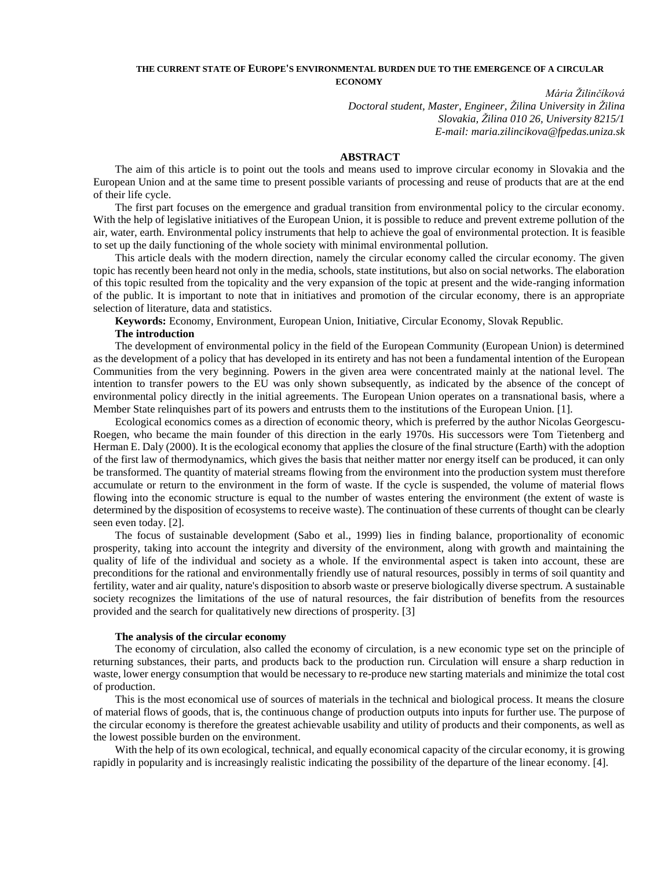### **THE CURRENT STATE OF EUROPE'S ENVIRONMENTAL BURDEN DUE TO THE EMERGENCE OF A CIRCULAR ECONOMY**

*Mária Žilinčíková Doctoral student, Master, Engineer, Žilina University in Žilina Slovakia, Žilina 010 26, University 8215/1 E-mail: maria.zilincikova@fpedas.uniza.sk*

## **ABSTRACT**

The aim of this article is to point out the tools and means used to improve circular economy in Slovakia and the European Union and at the same time to present possible variants of processing and reuse of products that are at the end of their life cycle.

The first part focuses on the emergence and gradual transition from environmental policy to the circular economy. With the help of legislative initiatives of the European Union, it is possible to reduce and prevent extreme pollution of the air, water, earth. Environmental policy instruments that help to achieve the goal of environmental protection. It is feasible to set up the daily functioning of the whole society with minimal environmental pollution.

This article deals with the modern direction, namely the circular economy called the circular economy. The given topic has recently been heard not only in the media, schools, state institutions, but also on social networks. The elaboration of this topic resulted from the topicality and the very expansion of the topic at present and the wide-ranging information of the public. It is important to note that in initiatives and promotion of the circular economy, there is an appropriate selection of literature, data and statistics.

**Keywords:** Economy, Environment, European Union, Initiative, Circular Economy, Slovak Republic. **The introduction**

The development of environmental policy in the field of the European Community (European Union) is determined as the development of a policy that has developed in its entirety and has not been a fundamental intention of the European Communities from the very beginning. Powers in the given area were concentrated mainly at the national level. The intention to transfer powers to the EU was only shown subsequently, as indicated by the absence of the concept of environmental policy directly in the initial agreements. The European Union operates on a transnational basis, where a Member State relinquishes part of its powers and entrusts them to the institutions of the European Union. [1].

Ecological economics comes as a direction of economic theory, which is preferred by the author Nicolas Georgescu-Roegen, who became the main founder of this direction in the early 1970s. His successors were Tom Tietenberg and Herman E. Daly (2000). It is the ecological economy that applies the closure of the final structure (Earth) with the adoption of the first law of thermodynamics, which gives the basis that neither matter nor energy itself can be produced, it can only be transformed. The quantity of material streams flowing from the environment into the production system must therefore accumulate or return to the environment in the form of waste. If the cycle is suspended, the volume of material flows flowing into the economic structure is equal to the number of wastes entering the environment (the extent of waste is determined by the disposition of ecosystems to receive waste). The continuation of these currents of thought can be clearly seen even today. [2].

The focus of sustainable development (Sabo et al., 1999) lies in finding balance, proportionality of economic prosperity, taking into account the integrity and diversity of the environment, along with growth and maintaining the quality of life of the individual and society as a whole. If the environmental aspect is taken into account, these are preconditions for the rational and environmentally friendly use of natural resources, possibly in terms of soil quantity and fertility, water and air quality, nature's disposition to absorb waste or preserve biologically diverse spectrum. A sustainable society recognizes the limitations of the use of natural resources, the fair distribution of benefits from the resources provided and the search for qualitatively new directions of prosperity. [3]

#### **The analysis of the circular economy**

The economy of circulation, also called the economy of circulation, is a new economic type set on the principle of returning substances, their parts, and products back to the production run. Circulation will ensure a sharp reduction in waste, lower energy consumption that would be necessary to re-produce new starting materials and minimize the total cost of production.

This is the most economical use of sources of materials in the technical and biological process. It means the closure of material flows of goods, that is, the continuous change of production outputs into inputs for further use. The purpose of the circular economy is therefore the greatest achievable usability and utility of products and their components, as well as the lowest possible burden on the environment.

With the help of its own ecological, technical, and equally economical capacity of the circular economy, it is growing rapidly in popularity and is increasingly realistic indicating the possibility of the departure of the linear economy. [4].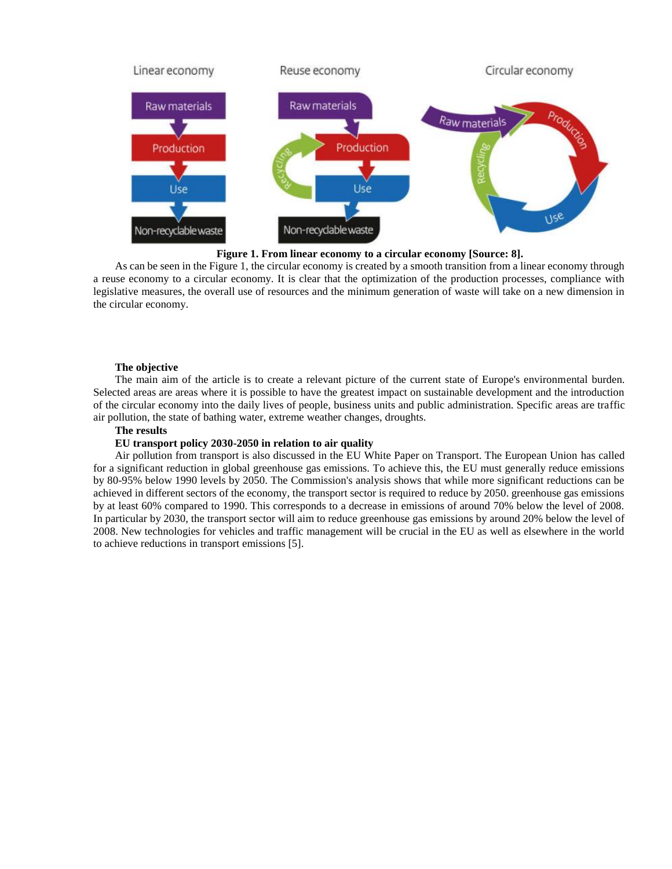

**Figure 1. From linear economy to a circular economy [Source: 8].**

As can be seen in the Figure 1, the circular economy is created by a smooth transition from a linear economy through a reuse economy to a circular economy. It is clear that the optimization of the production processes, compliance with legislative measures, the overall use of resources and the minimum generation of waste will take on a new dimension in the circular economy.

### **The objective**

The main aim of the article is to create a relevant picture of the current state of Europe's environmental burden. Selected areas are areas where it is possible to have the greatest impact on sustainable development and the introduction of the circular economy into the daily lives of people, business units and public administration. Specific areas are traffic air pollution, the state of bathing water, extreme weather changes, droughts.

### **The results**

### **EU transport policy 2030-2050 in relation to air quality**

Air pollution from transport is also discussed in the EU White Paper on Transport. The European Union has called for a significant reduction in global greenhouse gas emissions. To achieve this, the EU must generally reduce emissions by 80-95% below 1990 levels by 2050. The Commission's analysis shows that while more significant reductions can be achieved in different sectors of the economy, the transport sector is required to reduce by 2050. greenhouse gas emissions by at least 60% compared to 1990. This corresponds to a decrease in emissions of around 70% below the level of 2008. In particular by 2030, the transport sector will aim to reduce greenhouse gas emissions by around 20% below the level of 2008. New technologies for vehicles and traffic management will be crucial in the EU as well as elsewhere in the world to achieve reductions in transport emissions [5].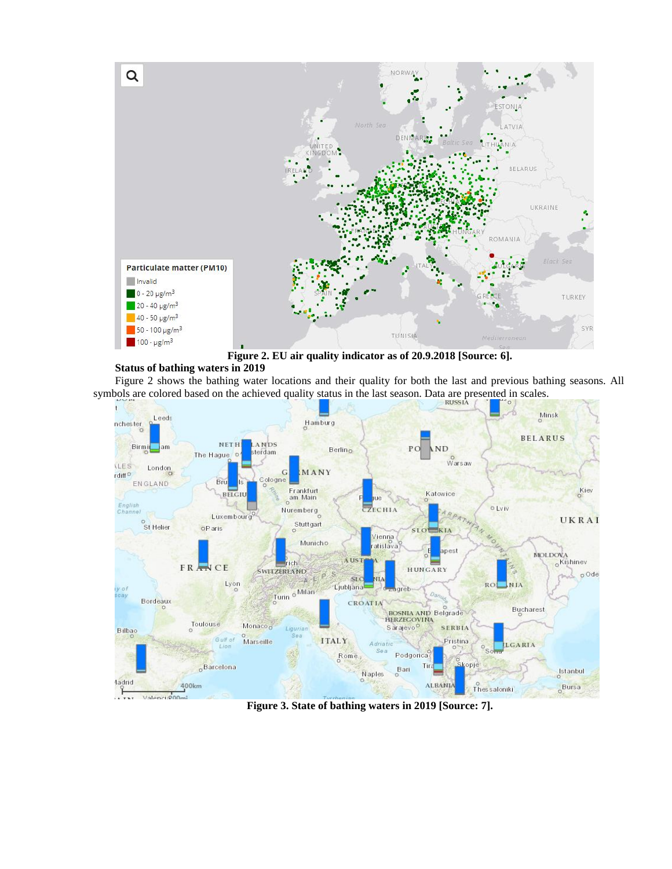

**Figure 2. EU air quality indicator as of 20.9.2018 [Source: 6].**

# **Status of bathing waters in 2019**

Figure 2 shows the bathing water locations and their quality for both the last and previous bathing seasons. All symbols are colored based on the achieved quality status in the last season. Data are presented in scales.



**Figure 3. State of bathing waters in 2019 [Source: 7].**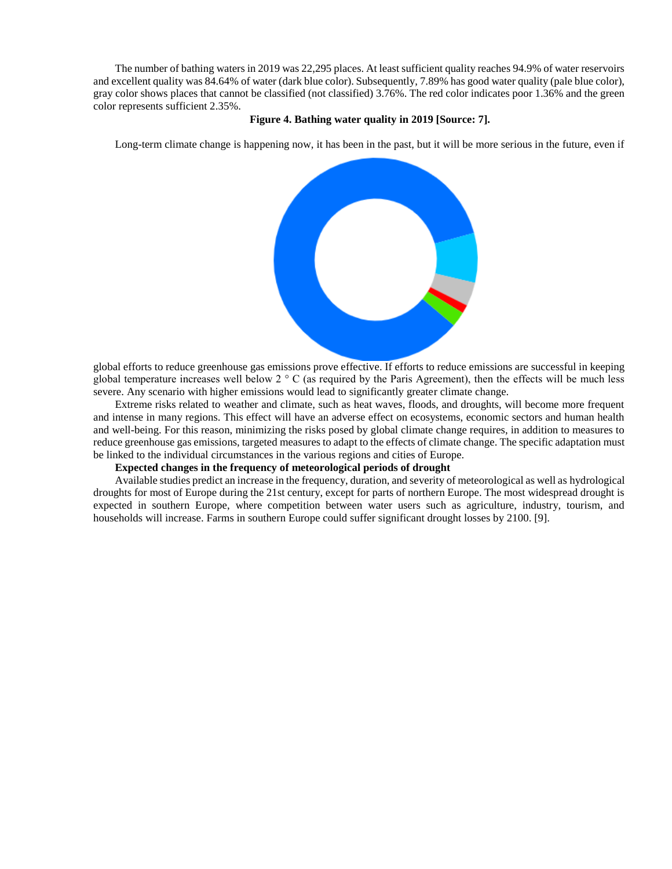The number of bathing waters in 2019 was 22,295 places. At least sufficient quality reaches 94.9% of water reservoirs and excellent quality was 84.64% of water (dark blue color). Subsequently, 7.89% has good water quality (pale blue color), gray color shows places that cannot be classified (not classified) 3.76%. The red color indicates poor 1.36% and the green color represents sufficient 2.35%.

### **Figure 4. Bathing water quality in 2019 [Source: 7].**

Long-term climate change is happening now, it has been in the past, but it will be more serious in the future, even if



global efforts to reduce greenhouse gas emissions prove effective. If efforts to reduce emissions are successful in keeping global temperature increases well below  $2 \circ C$  (as required by the Paris Agreement), then the effects will be much less severe. Any scenario with higher emissions would lead to significantly greater climate change.

Extreme risks related to weather and climate, such as heat waves, floods, and droughts, will become more frequent and intense in many regions. This effect will have an adverse effect on ecosystems, economic sectors and human health and well-being. For this reason, minimizing the risks posed by global climate change requires, in addition to measures to reduce greenhouse gas emissions, targeted measures to adapt to the effects of climate change. The specific adaptation must be linked to the individual circumstances in the various regions and cities of Europe.

### **Expected changes in the frequency of meteorological periods of drought**

Available studies predict an increase in the frequency, duration, and severity of meteorological as well as hydrological droughts for most of Europe during the 21st century, except for parts of northern Europe. The most widespread drought is expected in southern Europe, where competition between water users such as agriculture, industry, tourism, and households will increase. Farms in southern Europe could suffer significant drought losses by 2100. [9].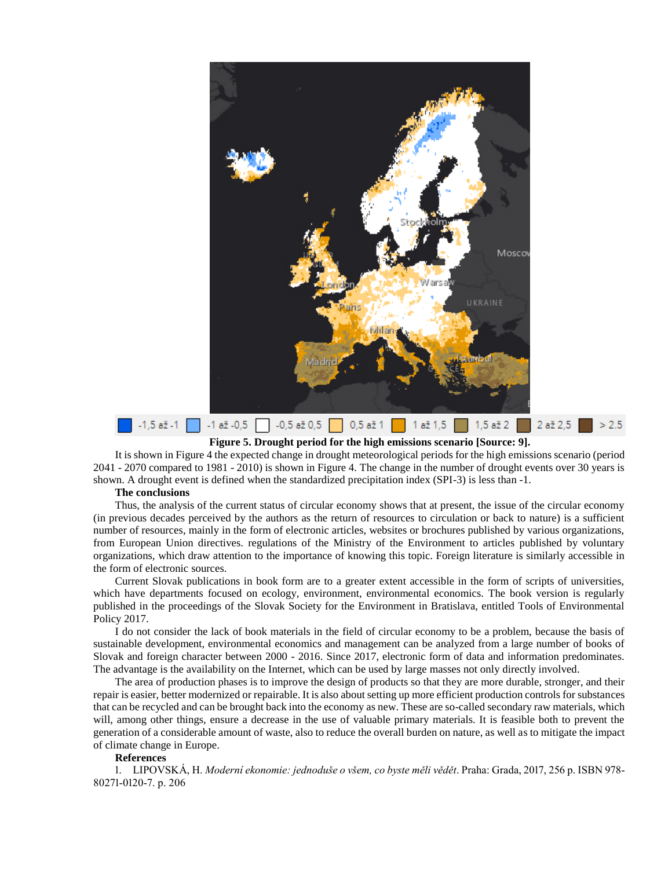

**Figure 5. Drought period for the high emissions scenario [Source: 9].**

It is shown in Figure 4 the expected change in drought meteorological periods for the high emissions scenario (period 2041 - 2070 compared to 1981 - 2010) is shown in Figure 4. The change in the number of drought events over 30 years is shown. A drought event is defined when the standardized precipitation index (SPI-3) is less than -1.

### **The conclusions**

Thus, the analysis of the current status of circular economy shows that at present, the issue of the circular economy (in previous decades perceived by the authors as the return of resources to circulation or back to nature) is a sufficient number of resources, mainly in the form of electronic articles, websites or brochures published by various organizations, from European Union directives. regulations of the Ministry of the Environment to articles published by voluntary organizations, which draw attention to the importance of knowing this topic. Foreign literature is similarly accessible in the form of electronic sources.

Current Slovak publications in book form are to a greater extent accessible in the form of scripts of universities, which have departments focused on ecology, environment, environmental economics. The book version is regularly published in the proceedings of the Slovak Society for the Environment in Bratislava, entitled Tools of Environmental Policy 2017.

I do not consider the lack of book materials in the field of circular economy to be a problem, because the basis of sustainable development, environmental economics and management can be analyzed from a large number of books of Slovak and foreign character between 2000 - 2016. Since 2017, electronic form of data and information predominates. The advantage is the availability on the Internet, which can be used by large masses not only directly involved.

The area of production phases is to improve the design of products so that they are more durable, stronger, and their repair is easier, better modernized or repairable. It is also about setting up more efficient production controls for substances that can be recycled and can be brought back into the economy as new. These are so-called secondary raw materials, which will, among other things, ensure a decrease in the use of valuable primary materials. It is feasible both to prevent the generation of a considerable amount of waste, also to reduce the overall burden on nature, as well as to mitigate the impact of climate change in Europe.

### **References**

1. LIPOVSKÁ, H. *Moderní ekonomie: jednoduše o všem, co byste měli vědět*. Praha: Grada, 2017, 256 p. ISBN 978- 80271-0120-7. p. 206